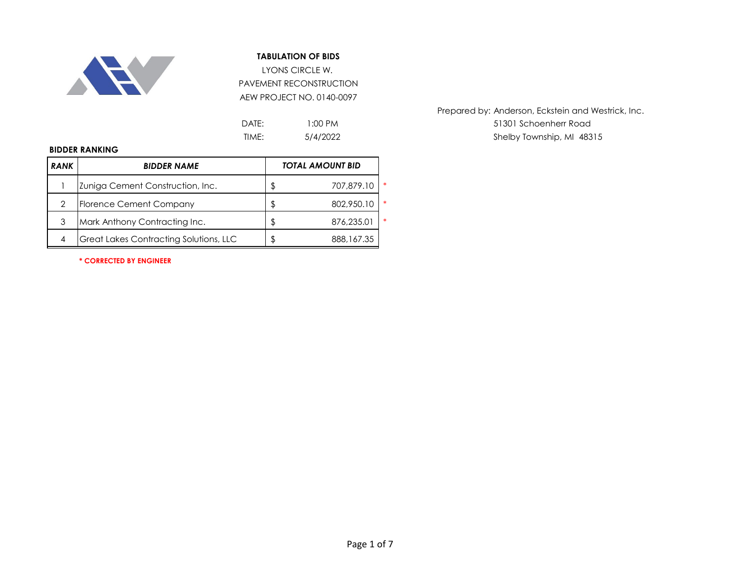

LYONS CIRCLE W. PAVEMENT RECONSTRUCTION AEW PROJECT NO. 0140-0097

| DATE: | $1:00 \text{ PM}$ |
|-------|-------------------|
| TIME: | 5/4/2022          |

Prepared by: Anderson, Eckstein and Westrick, Inc. 51301 Schoenherr Road Shelby Township, MI 48315

#### **BIDDER RANKING**

| <b>RANK</b> | <b>BIDDER NAME</b>                            |    | <b>TOTAL AMOUNT BID</b> |        |
|-------------|-----------------------------------------------|----|-------------------------|--------|
|             | Zuniga Cement Construction, Inc.              | \$ | 707,879.10              | $\ast$ |
| 2           | <b>Florence Cement Company</b>                | ß. | 802,950.10              | $\ast$ |
| 3           | Mark Anthony Contracting Inc.                 | S  | 876,235.01              | $\ast$ |
| 4           | <b>Great Lakes Contracting Solutions, LLC</b> |    | 888,167.35              |        |

**\* CORRECTED BY ENGINEER**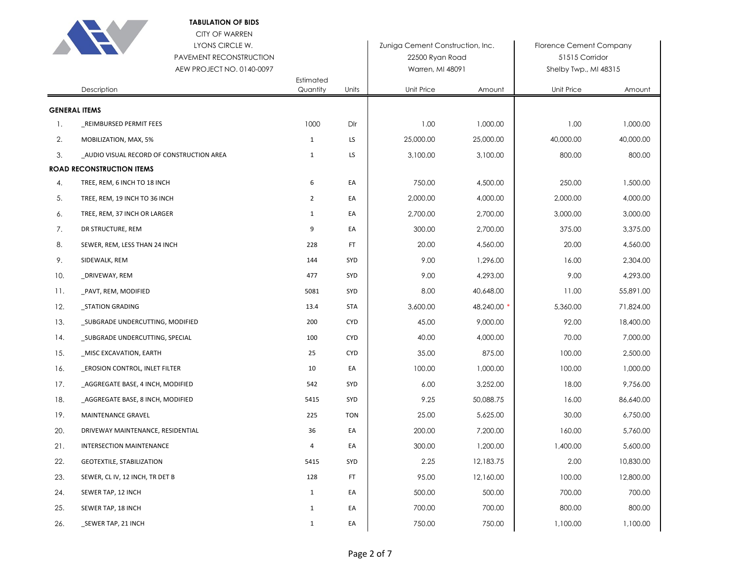|     | CITY OF WARREN<br>LYONS CIRCLE W.<br>PAVEMENT RECONSTRUCTION<br>AEW PROJECT NO. 0140-0097 | Estimated    |            | Zuniga Cement Construction, Inc.<br>22500 Ryan Road<br>Warren, MI 48091 |           | <b>Florence Cement Company</b><br>51515 Corridor<br>Shelby Twp., MI 48315 |           |
|-----|-------------------------------------------------------------------------------------------|--------------|------------|-------------------------------------------------------------------------|-----------|---------------------------------------------------------------------------|-----------|
|     | Description                                                                               | Quantity     | Units      | Unit Price                                                              | Amount    | Unit Price                                                                | Amount    |
|     | <b>GENERAL ITEMS</b>                                                                      |              |            |                                                                         |           |                                                                           |           |
| 1.  | REIMBURSED PERMIT FEES                                                                    | 1000         | Dlr        | 1.00                                                                    | 1,000.00  | 1.00                                                                      | 1,000.00  |
| 2.  | MOBILIZATION, MAX, 5%                                                                     | 1            | LS         | 25,000.00                                                               | 25,000.00 | 40,000.00                                                                 | 40,000.00 |
| 3.  | _AUDIO VISUAL RECORD OF CONSTRUCTION AREA                                                 | $\mathbf{1}$ | LS         | 3,100.00                                                                | 3,100.00  | 800.00                                                                    | 800.00    |
|     | <b>ROAD RECONSTRUCTION ITEMS</b>                                                          |              |            |                                                                         |           |                                                                           |           |
| 4.  | TREE, REM, 6 INCH TO 18 INCH                                                              | 6            | EA         | 750.00                                                                  | 4,500.00  | 250.00                                                                    | 1,500.00  |
| 5.  | TREE, REM, 19 INCH TO 36 INCH                                                             | 2            | EA         | 2,000.00                                                                | 4,000.00  | 2,000.00                                                                  | 4,000.00  |
| 6.  | TREE, REM, 37 INCH OR LARGER                                                              | $\mathbf{1}$ | EA         | 2,700.00                                                                | 2,700.00  | 3,000.00                                                                  | 3,000.00  |
| 7.  | DR STRUCTURE, REM                                                                         | 9            | EA         | 300.00                                                                  | 2,700.00  | 375.00                                                                    | 3,375.00  |
| 8.  | SEWER, REM, LESS THAN 24 INCH                                                             | 228          | <b>FT</b>  | 20.00                                                                   | 4,560.00  | 20.00                                                                     | 4,560.00  |
| 9.  | SIDEWALK, REM                                                                             | 144          | SYD        | 9.00                                                                    | 1,296.00  | 16.00                                                                     | 2,304.00  |
| 10. | _DRIVEWAY, REM                                                                            | 477          | SYD        | 9.00                                                                    | 4,293.00  | 9.00                                                                      | 4,293.00  |
| 11. | _PAVT, REM, MODIFIED                                                                      | 5081         | SYD        | 8.00                                                                    | 40,648.00 | 11.00                                                                     | 55,891.00 |
| 12. | _STATION GRADING                                                                          | 13.4         | <b>STA</b> | 3,600.00                                                                | 48,240.00 | 5,360.00                                                                  | 71,824.00 |
| 13. | _SUBGRADE UNDERCUTTING, MODIFIED                                                          | 200          | <b>CYD</b> | 45.00                                                                   | 9,000.00  | 92.00                                                                     | 18,400.00 |
| 14. | _SUBGRADE UNDERCUTTING, SPECIAL                                                           | 100          | <b>CYD</b> | 40.00                                                                   | 4,000.00  | 70.00                                                                     | 7,000.00  |
| 15. | _MISC EXCAVATION, EARTH                                                                   | 25           | <b>CYD</b> | 35.00                                                                   | 875.00    | 100.00                                                                    | 2,500.00  |
| 16. | <b>EROSION CONTROL, INLET FILTER</b>                                                      | 10           | EA         | 100.00                                                                  | 1,000.00  | 100.00                                                                    | 1,000.00  |
| 17. | _AGGREGATE BASE, 4 INCH, MODIFIED                                                         | 542          | SYD        | 6.00                                                                    | 3,252.00  | 18.00                                                                     | 9,756.00  |
| 18. | _AGGREGATE BASE, 8 INCH, MODIFIED                                                         | 5415         | SYD        | 9.25                                                                    | 50,088.75 | 16.00                                                                     | 86,640.00 |
| 19. | MAINTENANCE GRAVEL                                                                        | 225          | <b>TON</b> | 25.00                                                                   | 5,625.00  | 30.00                                                                     | 6,750.00  |
| 20. | DRIVEWAY MAINTENANCE, RESIDENTIAL                                                         | 36           | EA         | 200.00                                                                  | 7,200.00  | 160.00                                                                    | 5,760.00  |
| 21. | INTERSECTION MAINTENANCE                                                                  | 4            | EA         | 300.00                                                                  | 1,200.00  | 1,400.00                                                                  | 5,600.00  |
| 22. | GEOTEXTILE, STABILIZATION                                                                 | 5415         | SYD        | 2.25                                                                    | 12,183.75 | 2.00                                                                      | 10,830.00 |
| 23. | SEWER, CL IV, 12 INCH, TR DET B                                                           | 128          | <b>FT</b>  | 95.00                                                                   | 12,160.00 | 100.00                                                                    | 12,800.00 |
| 24. | SEWER TAP, 12 INCH                                                                        | $\mathbf{1}$ | EA         | 500.00                                                                  | 500.00    | 700.00                                                                    | 700.00    |
| 25. | SEWER TAP, 18 INCH                                                                        | $\mathbf{1}$ | EA         | 700.00                                                                  | 700.00    | 800.00                                                                    | 800.00    |
| 26. | _SEWER TAP, 21 INCH                                                                       | $\mathbf{1}$ | EA         | 750.00                                                                  | 750.00    | 1,100.00                                                                  | 1,100.00  |

**ALL AVE**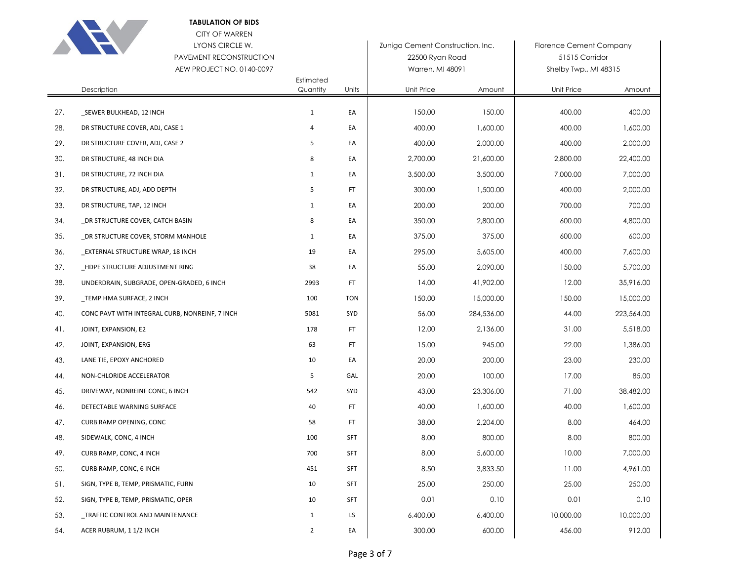

CITY OF WARREN

## LYONS CIRCLE W. PAVEMENT RECONSTRUCTION

|     | PAVEMENT RECONSTRUCTION<br>AEW PROJECT NO. 0140-0097 |                       |            | 22500 Ryan Road<br>Warren, MI 48091 |            | 51515 Corridor<br>Shelby Twp., MI 48315 |            |
|-----|------------------------------------------------------|-----------------------|------------|-------------------------------------|------------|-----------------------------------------|------------|
|     | Description                                          | Estimated<br>Quantity | Units      | Unit Price                          | Amount     | Unit Price                              | Amount     |
| 27. | _SEWER BULKHEAD, 12 INCH                             | $\mathbf 1$           | EA         | 150.00                              | 150.00     | 400.00                                  | 400.00     |
| 28. | DR STRUCTURE COVER, ADJ, CASE 1                      | 4                     | EA         | 400.00                              | 1,600.00   | 400.00                                  | 1,600.00   |
| 29. | DR STRUCTURE COVER, ADJ, CASE 2                      | 5                     | EA         | 400.00                              | 2,000.00   | 400.00                                  | 2,000.00   |
| 30. | DR STRUCTURE, 48 INCH DIA                            | 8                     | EA         | 2,700.00                            | 21,600.00  | 2,800.00                                | 22,400.00  |
| 31. | DR STRUCTURE, 72 INCH DIA                            | 1                     | EA         | 3,500.00                            | 3,500.00   | 7,000.00                                | 7,000.00   |
| 32. | DR STRUCTURE, ADJ, ADD DEPTH                         | 5                     | <b>FT</b>  | 300.00                              | 1,500.00   | 400.00                                  | 2,000.00   |
| 33. | DR STRUCTURE, TAP, 12 INCH                           | $\mathbf{1}$          | EA         | 200.00                              | 200.00     | 700.00                                  | 700.00     |
| 34. | DR STRUCTURE COVER, CATCH BASIN                      | 8                     | EA         | 350.00                              | 2,800.00   | 600.00                                  | 4,800.00   |
| 35. | _DR STRUCTURE COVER, STORM MANHOLE                   | $\mathbf{1}$          | EA         | 375.00                              | 375.00     | 600.00                                  | 600.00     |
| 36. | EXTERNAL STRUCTURE WRAP, 18 INCH                     | 19                    | EA         | 295.00                              | 5,605.00   | 400.00                                  | 7,600.00   |
| 37. | _HDPE STRUCTURE ADJUSTMENT RING                      | 38                    | EA         | 55.00                               | 2,090.00   | 150.00                                  | 5,700.00   |
| 38. | UNDERDRAIN, SUBGRADE, OPEN-GRADED, 6 INCH            | 2993                  | <b>FT</b>  | 14.00                               | 41,902.00  | 12.00                                   | 35,916.00  |
| 39. | TEMP HMA SURFACE, 2 INCH                             | 100                   | <b>TON</b> | 150.00                              | 15,000.00  | 150.00                                  | 15,000.00  |
| 40. | CONC PAVT WITH INTEGRAL CURB, NONREINF, 7 INCH       | 5081                  | SYD        | 56.00                               | 284,536.00 | 44.00                                   | 223,564.00 |
| 41. | JOINT, EXPANSION, E2                                 | 178                   | <b>FT</b>  | 12.00                               | 2,136.00   | 31.00                                   | 5,518.00   |
| 42. | JOINT, EXPANSION, ERG                                | 63                    | <b>FT</b>  | 15.00                               | 945.00     | 22.00                                   | 1,386.00   |
| 43. | LANE TIE, EPOXY ANCHORED                             | 10                    | EA         | 20.00                               | 200.00     | 23.00                                   | 230.00     |
| 44. | NON-CHLORIDE ACCELERATOR                             | 5                     | GAL        | 20.00                               | 100.00     | 17.00                                   | 85.00      |
| 45. | DRIVEWAY, NONREINF CONC, 6 INCH                      | 542                   | SYD        | 43.00                               | 23,306.00  | 71.00                                   | 38,482.00  |
| 46. | DETECTABLE WARNING SURFACE                           | 40                    | <b>FT</b>  | 40.00                               | 1,600.00   | 40.00                                   | 1,600.00   |
| 47. | CURB RAMP OPENING, CONC                              | 58                    | <b>FT</b>  | 38.00                               | 2,204.00   | 8.00                                    | 464.00     |
| 48. | SIDEWALK, CONC, 4 INCH                               | 100                   | <b>SFT</b> | 8.00                                | 800.00     | 8.00                                    | 800.00     |
| 49. | CURB RAMP, CONC, 4 INCH                              | 700                   | <b>SFT</b> | 8.00                                | 5,600.00   | 10.00                                   | 7,000.00   |
| 50. | CURB RAMP, CONC, 6 INCH                              | 451                   | <b>SFT</b> | 8.50                                | 3,833.50   | 11.00                                   | 4,961.00   |
| 51. | SIGN, TYPE B, TEMP, PRISMATIC, FURN                  | 10                    | SFT        | 25.00                               | 250.00     | 25.00                                   | 250.00     |
| 52. | SIGN, TYPE B, TEMP, PRISMATIC, OPER                  | 10                    | <b>SFT</b> | 0.01                                | 0.10       | 0.01                                    | 0.10       |
| 53. | TRAFFIC CONTROL AND MAINTENANCE                      | $\mathbf{1}$          | LS         | 6,400.00                            | 6,400.00   | 10,000.00                               | 10,000.00  |
| 54. | ACER RUBRUM, 1 1/2 INCH                              | $\overline{2}$        | EA         | 300.00                              | 600.00     | 456.00                                  | 912.00     |

Zuniga Cement Construction, Inc. Florence Cement Company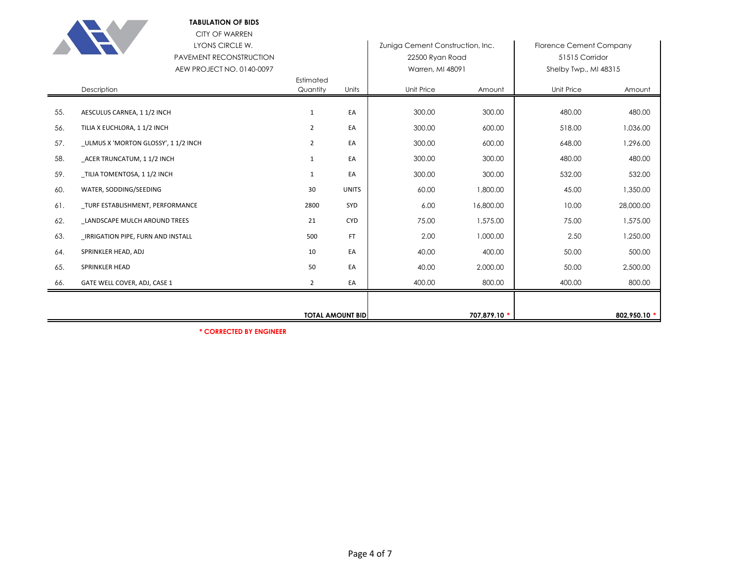

### **TABULATION OF BIDS** CITY OF WARREN LYONS CIRCLE W.

|     | LYONS CIRCLE W.                    |                         |              | Zuniga Cement Construction, Inc. |              | Florence Cement Company |              |
|-----|------------------------------------|-------------------------|--------------|----------------------------------|--------------|-------------------------|--------------|
|     | PAVEMENT RECONSTRUCTION            |                         |              | 22500 Ryan Road                  |              | 51515 Corridor          |              |
|     | AEW PROJECT NO. 0140-0097          |                         |              | Warren, MI 48091                 |              | Shelby Twp., MI 48315   |              |
|     | Description                        | Estimated<br>Quantity   | Units        | Unit Price                       | Amount       | Unit Price              | Amount       |
|     |                                    |                         |              |                                  |              |                         |              |
| 55. | AESCULUS CARNEA, 11/2 INCH         | 1                       | EA           | 300.00                           | 300.00       | 480.00                  | 480.00       |
| 56. | TILIA X EUCHLORA, 1 1/2 INCH       | $\overline{2}$          | EA           | 300.00                           | 600.00       | 518.00                  | 1,036.00     |
| 57. | ULMUS X 'MORTON GLOSSY', 11/2 INCH | $\overline{2}$          | EA           | 300.00                           | 600.00       | 648.00                  | 1,296.00     |
| 58. | ACER TRUNCATUM, 11/2 INCH          | $\mathbf{1}$            | EA           | 300.00                           | 300.00       | 480.00                  | 480.00       |
| 59. | TILIA TOMENTOSA, 1 1/2 INCH        | 1                       | EA           | 300.00                           | 300.00       | 532.00                  | 532.00       |
| 60. | WATER, SODDING/SEEDING             | 30                      | <b>UNITS</b> | 60.00                            | 1,800.00     | 45.00                   | 1,350.00     |
| 61. | _TURF ESTABLISHMENT, PERFORMANCE   | 2800                    | SYD          | 6.00                             | 16,800.00    | 10.00                   | 28,000.00    |
| 62. | LANDSCAPE MULCH AROUND TREES       | 21                      | <b>CYD</b>   | 75.00                            | 1,575.00     | 75.00                   | 1,575.00     |
| 63. | IRRIGATION PIPE, FURN AND INSTALL  | 500                     | <b>FT</b>    | 2.00                             | 1,000.00     | 2.50                    | 1,250.00     |
| 64. | SPRINKLER HEAD, ADJ                | 10                      | EA           | 40.00                            | 400.00       | 50.00                   | 500.00       |
| 65. | SPRINKLER HEAD                     | 50                      | EA           | 40.00                            | 2,000.00     | 50.00                   | 2,500.00     |
| 66. | GATE WELL COVER, ADJ, CASE 1       | $\overline{2}$          | EA           | 400.00                           | 800.00       | 400.00                  | 800.00       |
|     |                                    |                         |              |                                  |              |                         |              |
|     |                                    | <b>TOTAL AMOUNT BID</b> |              |                                  | 707,879.10 * |                         | 802,950.10 * |

**\* CORRECTED BY ENGINEER**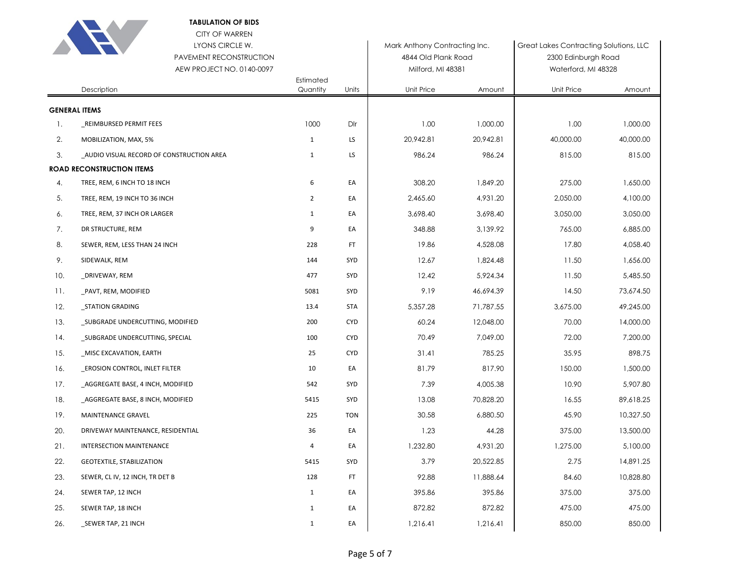|     | <b>TABULATION OF BIDS</b><br><b>CITY OF WARREN</b><br>LYONS CIRCLE W.<br>PAVEMENT RECONSTRUCTION<br>AEW PROJECT NO. 0140-0097 |                       |            | Mark Anthony Contracting Inc.<br>4844 Old Plank Road<br>Milford, MI 48381 |           | Great Lakes Contracting Solutions, LLC<br>2300 Edinburgh Road<br>Waterford, MI 48328 |           |
|-----|-------------------------------------------------------------------------------------------------------------------------------|-----------------------|------------|---------------------------------------------------------------------------|-----------|--------------------------------------------------------------------------------------|-----------|
|     | Description                                                                                                                   | Estimated<br>Quantity | Units      | Unit Price                                                                | Amount    | Unit Price                                                                           | Amount    |
|     | <b>GENERAL ITEMS</b>                                                                                                          |                       |            |                                                                           |           |                                                                                      |           |
| 1.  | REIMBURSED PERMIT FEES                                                                                                        | 1000                  | Dlr        | 1.00                                                                      | 1,000.00  | 1.00                                                                                 | 1,000.00  |
| 2.  | MOBILIZATION, MAX, 5%                                                                                                         | 1                     | LS         | 20,942.81                                                                 | 20,942.81 | 40,000.00                                                                            | 40,000.00 |
| 3.  | _AUDIO VISUAL RECORD OF CONSTRUCTION AREA                                                                                     | $\mathbf{1}$          | LS         | 986.24                                                                    | 986.24    | 815.00                                                                               | 815.00    |
|     | <b>ROAD RECONSTRUCTION ITEMS</b>                                                                                              |                       |            |                                                                           |           |                                                                                      |           |
| 4.  | TREE, REM, 6 INCH TO 18 INCH                                                                                                  | 6                     | EA         | 308.20                                                                    | 1,849.20  | 275.00                                                                               | 1,650.00  |
| 5.  | TREE, REM, 19 INCH TO 36 INCH                                                                                                 | $\overline{2}$        | EA         | 2,465.60                                                                  | 4,931.20  | 2,050.00                                                                             | 4,100.00  |
| 6.  | TREE, REM, 37 INCH OR LARGER                                                                                                  | $\mathbf{1}$          | EA         | 3,698.40                                                                  | 3,698.40  | 3,050.00                                                                             | 3,050.00  |
| 7.  | DR STRUCTURE, REM                                                                                                             | 9                     | EA         | 348.88                                                                    | 3,139.92  | 765.00                                                                               | 6,885.00  |
| 8.  | SEWER, REM, LESS THAN 24 INCH                                                                                                 | 228                   | <b>FT</b>  | 19.86                                                                     | 4,528.08  | 17.80                                                                                | 4,058.40  |
| 9.  | SIDEWALK, REM                                                                                                                 | 144                   | SYD        | 12.67                                                                     | 1,824.48  | 11.50                                                                                | 1,656.00  |
| 10. | _DRIVEWAY, REM                                                                                                                | 477                   | SYD        | 12.42                                                                     | 5,924.34  | 11.50                                                                                | 5,485.50  |
| 11. | _PAVT, REM, MODIFIED                                                                                                          | 5081                  | SYD        | 9.19                                                                      | 46,694.39 | 14.50                                                                                | 73,674.50 |
| 12. | _STATION GRADING                                                                                                              | 13.4                  | <b>STA</b> | 5,357.28                                                                  | 71,787.55 | 3,675.00                                                                             | 49,245.00 |
| 13. | _SUBGRADE UNDERCUTTING, MODIFIED                                                                                              | 200                   | <b>CYD</b> | 60.24                                                                     | 12,048.00 | 70.00                                                                                | 14,000.00 |
| 14. | _SUBGRADE UNDERCUTTING, SPECIAL                                                                                               | 100                   | <b>CYD</b> | 70.49                                                                     | 7,049.00  | 72.00                                                                                | 7,200.00  |
| 15. | _MISC EXCAVATION, EARTH                                                                                                       | 25                    | <b>CYD</b> | 31.41                                                                     | 785.25    | 35.95                                                                                | 898.75    |
| 16. | <b>EROSION CONTROL, INLET FILTER</b>                                                                                          | 10                    | EA         | 81.79                                                                     | 817.90    | 150.00                                                                               | 1,500.00  |
| 17. | AGGREGATE BASE, 4 INCH, MODIFIED                                                                                              | 542                   | SYD        | 7.39                                                                      | 4,005.38  | 10.90                                                                                | 5,907.80  |
| 18. | _AGGREGATE BASE, 8 INCH, MODIFIED                                                                                             | 5415                  | SYD        | 13.08                                                                     | 70,828.20 | 16.55                                                                                | 89,618.25 |
| 19. | MAINTENANCE GRAVEL                                                                                                            | 225                   | <b>TON</b> | 30.58                                                                     | 6,880.50  | 45.90                                                                                | 10,327.50 |
| 20. | DRIVEWAY MAINTENANCE, RESIDENTIAL                                                                                             | 36                    | EA         | 1.23                                                                      | 44.28     | 375.00                                                                               | 13,500.00 |
| 21. | INTERSECTION MAINTENANCE                                                                                                      | 4                     | EA         | 1,232.80                                                                  | 4,931.20  | 1,275.00                                                                             | 5,100.00  |
| 22. | GEOTEXTILE, STABILIZATION                                                                                                     | 5415                  | SYD        | 3.79                                                                      | 20,522.85 | 2.75                                                                                 | 14,891.25 |
| 23. | SEWER, CL IV, 12 INCH, TR DET B                                                                                               | 128                   | FT.        | 92.88                                                                     | 11,888.64 | 84.60                                                                                | 10,828.80 |
| 24. | SEWER TAP, 12 INCH                                                                                                            | $\mathbf{1}$          | EA         | 395.86                                                                    | 395.86    | 375.00                                                                               | 375.00    |
| 25. | SEWER TAP, 18 INCH                                                                                                            | $\mathbf{1}$          | EA         | 872.82                                                                    | 872.82    | 475.00                                                                               | 475.00    |
| 26. | _SEWER TAP, 21 INCH                                                                                                           | $\mathbf{1}$          | EA         | 1,216.41                                                                  | 1,216.41  | 850.00                                                                               | 850.00    |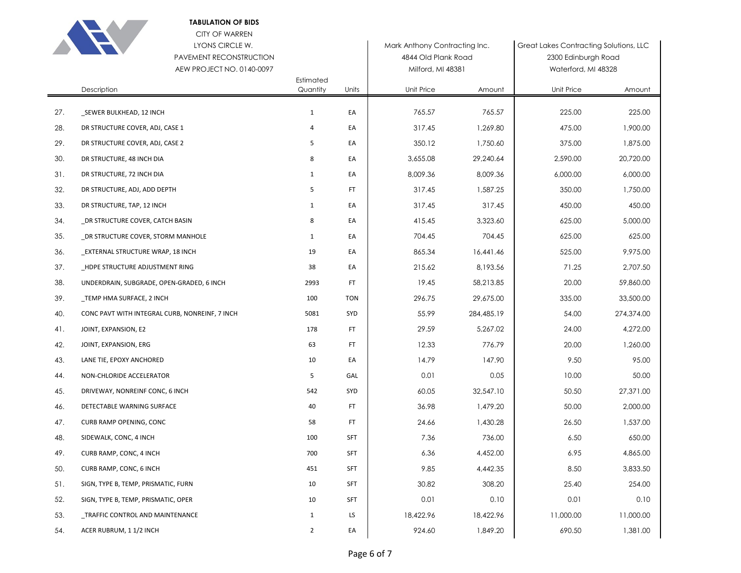

CITY OF WARREN

# LYONS CIRCLE W. PAVEMENT RECONSTRUCTION

|     | PAVEMENT RECONSTRUCTION                        |                |            | 4844 Old Plank Road |            | 2300 Edinburgh Road |            |
|-----|------------------------------------------------|----------------|------------|---------------------|------------|---------------------|------------|
|     | AEW PROJECT NO. 0140-0097<br>Estimated         |                |            | Milford, MI 48381   |            | Waterford, MI 48328 |            |
|     | Description                                    | Quantity       | Units      | Unit Price          | Amount     | Unit Price          | Amount     |
| 27. | _SEWER BULKHEAD, 12 INCH                       | $\mathbf{1}$   | EA         | 765.57              | 765.57     | 225.00              | 225.00     |
| 28. | DR STRUCTURE COVER, ADJ, CASE 1                | $\overline{4}$ | EA         | 317.45              | 1,269.80   | 475.00              | 1,900.00   |
| 29. | DR STRUCTURE COVER, ADJ, CASE 2                | 5              | EA         | 350.12              | 1,750.60   | 375.00              | 1,875.00   |
| 30. | DR STRUCTURE, 48 INCH DIA                      | 8              | EA         | 3,655.08            | 29,240.64  | 2,590.00            | 20,720.00  |
| 31. | DR STRUCTURE, 72 INCH DIA                      | $\mathbf{1}$   | EA         | 8,009.36            | 8.009.36   | 6,000.00            | 6,000.00   |
| 32. | DR STRUCTURE, ADJ, ADD DEPTH                   | 5              | <b>FT</b>  | 317.45              | 1,587.25   | 350.00              | 1,750.00   |
| 33. | DR STRUCTURE, TAP, 12 INCH                     | $\mathbf{1}$   | EA         | 317.45              | 317.45     | 450.00              | 450.00     |
| 34. | DR STRUCTURE COVER, CATCH BASIN                | 8              | EA         | 415.45              | 3,323.60   | 625.00              | 5,000.00   |
| 35. | DR STRUCTURE COVER, STORM MANHOLE              | $\mathbf{1}$   | EA         | 704.45              | 704.45     | 625.00              | 625.00     |
| 36. | EXTERNAL STRUCTURE WRAP, 18 INCH               | 19             | EA         | 865.34              | 16,441.46  | 525.00              | 9,975.00   |
| 37. | _HDPE STRUCTURE ADJUSTMENT RING                | 38             | EA         | 215.62              | 8,193.56   | 71.25               | 2,707.50   |
| 38. | UNDERDRAIN, SUBGRADE, OPEN-GRADED, 6 INCH      | 2993           | FT         | 19.45               | 58,213.85  | 20.00               | 59,860.00  |
| 39. | TEMP HMA SURFACE, 2 INCH                       | 100            | <b>TON</b> | 296.75              | 29,675.00  | 335.00              | 33,500.00  |
| 40. | CONC PAVT WITH INTEGRAL CURB, NONREINF, 7 INCH | 5081           | SYD        | 55.99               | 284,485.19 | 54.00               | 274,374.00 |
| 41. | JOINT, EXPANSION, E2                           | 178            | FT         | 29.59               | 5,267.02   | 24.00               | 4,272.00   |
| 42. | JOINT, EXPANSION, ERG                          | 63             | FT         | 12.33               | 776.79     | 20.00               | 1,260.00   |
| 43. | LANE TIE, EPOXY ANCHORED                       | 10             | EA         | 14.79               | 147.90     | 9.50                | 95.00      |
| 44. | NON-CHLORIDE ACCELERATOR                       | 5              | GAL        | 0.01                | 0.05       | 10.00               | 50.00      |
| 45. | DRIVEWAY, NONREINF CONC, 6 INCH                | 542            | SYD        | 60.05               | 32,547.10  | 50.50               | 27,371.00  |
| 46. | DETECTABLE WARNING SURFACE                     | 40             | FT.        | 36.98               | 1,479.20   | 50.00               | 2,000.00   |
| 47. | CURB RAMP OPENING, CONC                        | 58             | <b>FT</b>  | 24.66               | 1,430.28   | 26.50               | 1,537.00   |
| 48. | SIDEWALK, CONC, 4 INCH                         | 100            | <b>SFT</b> | 7.36                | 736.00     | 6.50                | 650.00     |
| 49. | CURB RAMP, CONC, 4 INCH                        | 700            | <b>SFT</b> | 6.36                | 4,452.00   | 6.95                | 4,865.00   |
| 50. | CURB RAMP, CONC, 6 INCH                        | 451            | <b>SFT</b> | 9.85                | 4,442.35   | 8.50                | 3,833.50   |
| 51. | SIGN, TYPE B, TEMP, PRISMATIC, FURN            | 10             | SFT        | 30.82               | 308.20     | 25.40               | 254.00     |
| 52. | SIGN, TYPE B, TEMP, PRISMATIC, OPER            | 10             | SFT        | 0.01                | 0.10       | 0.01                | 0.10       |
| 53. | TRAFFIC CONTROL AND MAINTENANCE                | $\mathbf{1}$   | LS.        | 18,422.96           | 18,422.96  | 11,000.00           | 11,000.00  |
| 54. | ACER RUBRUM, 11/2 INCH                         | $\overline{2}$ | EA         | 924.60              | 1,849.20   | 690.50              | 1,381.00   |

Mark Anthony Contracting Inc. <br>
Great Lakes Contracting Solutions, LLC